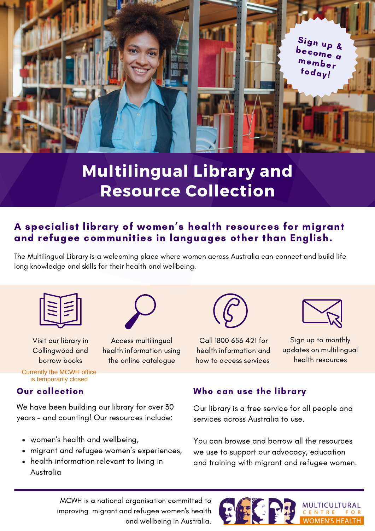

## **Multilingual Library and Resource Collection**

### A specialist library of women ' s health resources for migrant and refugee communities in languages other than English.

The Multilingual Library is a welcoming place where women across Australia can connect and build life long knowledge and skills for their health and wellbeing.





Visit our library in Collingwood and borrow books

Access multilingual health information using the online catalogue



Call 1800 656 421 for health information and how to access services



Sign up to monthly updates on multilingual health resources

#### Currently the MCWH office is temporarily closed

We have been building our library for over 30 years - and counting! Our resources include:

- women's health and wellbeing,
- migrant and refugee women's experiences,  $\bullet$
- health information relevant to living in Australia



Our library is a free service for all people and services across Australia to use.

You can browse and borrow all the resources we use to support our advocacy, education and training with migrant and refugee women.

MCWH is a national organisation committed to improving migrant and refugee women's health and wellbeing in Australia.